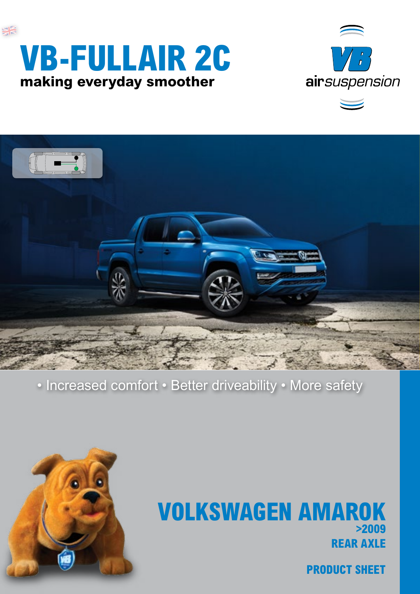





### • Increased comfort • Better driveability • More safety



## **REAR AXLE VOLKSWAGEN AMAROK >2009**

**PRODUCT SHEET**